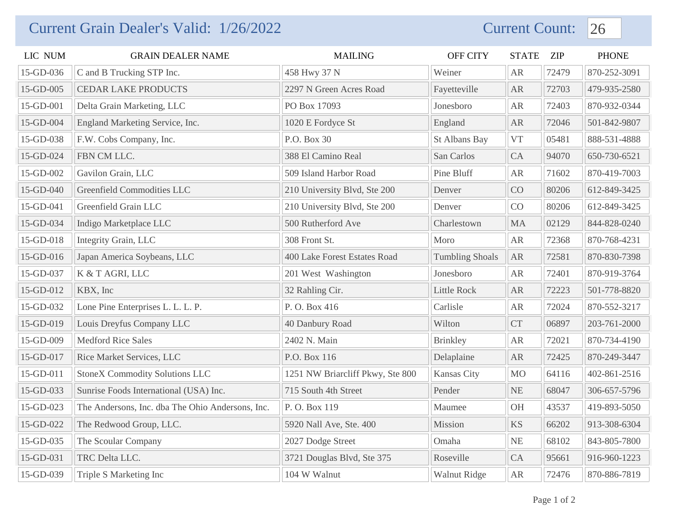## Current Grain Dealer's Valid: 1/26/2022 Current Count: 26

| LIC NUM   | <b>GRAIN DEALER NAME</b>                         | <b>MAILING</b>                   | OFF CITY               | <b>STATE</b> | <b>ZIP</b> | <b>PHONE</b> |
|-----------|--------------------------------------------------|----------------------------------|------------------------|--------------|------------|--------------|
| 15-GD-036 | C and B Trucking STP Inc.                        | 458 Hwy 37 N                     | Weiner                 | AR           | 72479      | 870-252-3091 |
| 15-GD-005 | <b>CEDAR LAKE PRODUCTS</b>                       | 2297 N Green Acres Road          | Fayetteville           | AR           | 72703      | 479-935-2580 |
| 15-GD-001 | Delta Grain Marketing, LLC                       | PO Box 17093                     | Jonesboro              | AR           | 72403      | 870-932-0344 |
| 15-GD-004 | England Marketing Service, Inc.                  | 1020 E Fordyce St                | England                | AR           | 72046      | 501-842-9807 |
| 15-GD-038 | F.W. Cobs Company, Inc.                          | P.O. Box 30                      | St Albans Bay          | <b>VT</b>    | 05481      | 888-531-4888 |
| 15-GD-024 | FBN CM LLC.                                      | 388 El Camino Real               | San Carlos             | CA           | 94070      | 650-730-6521 |
| 15-GD-002 | Gavilon Grain, LLC                               | 509 Island Harbor Road           | Pine Bluff             | AR           | 71602      | 870-419-7003 |
| 15-GD-040 | Greenfield Commodities LLC                       | 210 University Blvd, Ste 200     | Denver                 | CO           | 80206      | 612-849-3425 |
| 15-GD-041 | Greenfield Grain LLC                             | 210 University Blvd, Ste 200     | Denver                 | CO           | 80206      | 612-849-3425 |
| 15-GD-034 | Indigo Marketplace LLC                           | 500 Rutherford Ave               | Charlestown            | <b>MA</b>    | 02129      | 844-828-0240 |
| 15-GD-018 | Integrity Grain, LLC                             | 308 Front St.                    | Moro                   | AR           | 72368      | 870-768-4231 |
| 15-GD-016 | Japan America Soybeans, LLC                      | 400 Lake Forest Estates Road     | <b>Tumbling Shoals</b> | AR           | 72581      | 870-830-7398 |
| 15-GD-037 | K & T AGRI, LLC                                  | 201 West Washington              | Jonesboro              | <b>AR</b>    | 72401      | 870-919-3764 |
| 15-GD-012 | KBX, Inc                                         | 32 Rahling Cir.                  | Little Rock            | AR           | 72223      | 501-778-8820 |
| 15-GD-032 | Lone Pine Enterprises L. L. L. P.                | P.O. Box 416                     | Carlisle               | AR           | 72024      | 870-552-3217 |
| 15-GD-019 | Louis Dreyfus Company LLC                        | 40 Danbury Road                  | Wilton                 | <b>CT</b>    | 06897      | 203-761-2000 |
| 15-GD-009 | <b>Medford Rice Sales</b>                        | 2402 N. Main                     | <b>Brinkley</b>        | <b>AR</b>    | 72021      | 870-734-4190 |
| 15-GD-017 | Rice Market Services, LLC                        | P.O. Box 116                     | Delaplaine             | <b>AR</b>    | 72425      | 870-249-3447 |
| 15-GD-011 | <b>StoneX Commodity Solutions LLC</b>            | 1251 NW Briarcliff Pkwy, Ste 800 | Kansas City            | <b>MO</b>    | 64116      | 402-861-2516 |
| 15-GD-033 | Sunrise Foods International (USA) Inc.           | 715 South 4th Street             | Pender                 | NE           | 68047      | 306-657-5796 |
| 15-GD-023 | The Andersons, Inc. dba The Ohio Andersons, Inc. | P. O. Box 119                    | Maumee                 | <b>OH</b>    | 43537      | 419-893-5050 |
| 15-GD-022 | The Redwood Group, LLC.                          | 5920 Nall Ave, Ste. 400          | Mission                | <b>KS</b>    | 66202      | 913-308-6304 |
| 15-GD-035 | The Scoular Company                              | 2027 Dodge Street                | Omaha                  | NE           | 68102      | 843-805-7800 |
| 15-GD-031 | TRC Delta LLC.                                   | 3721 Douglas Blvd, Ste 375       | Roseville              | CA           | 95661      | 916-960-1223 |
| 15-GD-039 | Triple S Marketing Inc                           | 104 W Walnut                     | <b>Walnut Ridge</b>    | AR           | 72476      | 870-886-7819 |